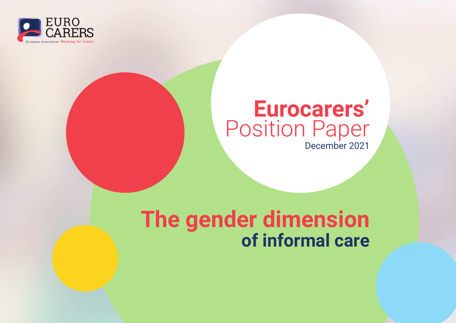

## **Eurocarers'** Position Paper December 2021

# **The gender dimension of informal care**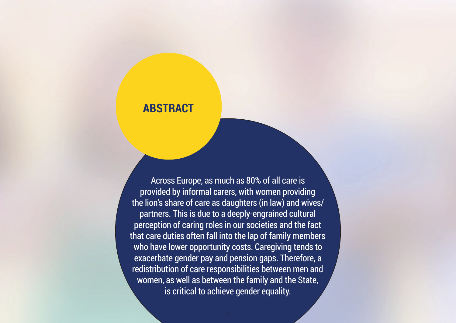## **ABSTRACT**

Across Europe, as much as 80% of all care is provided by informal carers, with women providing the lion's share of care as daughters (in law) and wives/ partners. This is due to a deeply-engrained cultural perception of caring roles in our societies and the fact that care duties often fall into the lap of family members who have lower opportunity costs. Caregiving tends to exacerbate gender pay and pension gaps. Therefore, a redistribution of care responsibilities between men and women, as well as between the family and the State, is critical to achieve gender equality.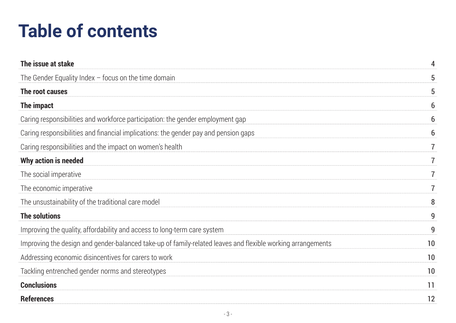# **Table of contents**

| The issue at stake                                                                                          | 4  |
|-------------------------------------------------------------------------------------------------------------|----|
| The Gender Equality Index $-$ focus on the time domain                                                      | 5  |
| The root causes                                                                                             | 5  |
| The impact                                                                                                  | 6  |
| Caring responsibilities and workforce participation: the gender employment gap                              | 6  |
| Caring responsibilities and financial implications: the gender pay and pension gaps                         | 6  |
| Caring responsibilities and the impact on women's health                                                    |    |
| Why action is needed                                                                                        |    |
| The social imperative                                                                                       | 7  |
| The economic imperative                                                                                     | 7  |
| The unsustainability of the traditional care model                                                          | 8  |
| <b>The solutions</b>                                                                                        | 9  |
| Improving the quality, affordability and access to long-term care system                                    | 9  |
| Improving the design and gender-balanced take-up of family-related leaves and flexible working arrangements | 10 |
| Addressing economic disincentives for carers to work                                                        | 10 |
| Tackling entrenched gender norms and stereotypes                                                            | 10 |
| <b>Conclusions</b>                                                                                          | 11 |
| <b>References</b>                                                                                           | 12 |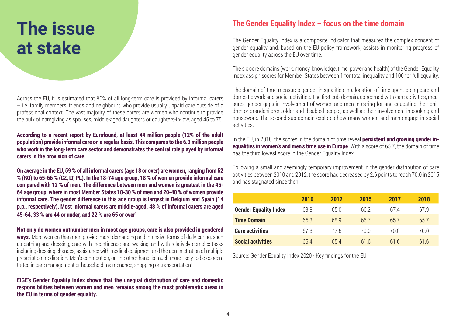## **The issue at stake**

Across the EU, it is estimated that 80% of all long-term care is provided by informal carers – i.e. family members, friends and neighbours who provide usually unpaid care outside of a professional context. The vast majority of these carers are women who continue to provide the bulk of caregiving as spouses, middle-aged daughters or daughters-in-law, aged 45 to 75.

#### **According to a recent report by Eurofound, at least 44 million people (12% of the adult population) provide informal care on a regular basis. This compares to the 6.3 million people who work in the long-term care sector and demonstrates the central role played by informal carers in the provision of care.**

**On average in the EU, 59 % of all informal carers (age 18 or over) are women, ranging from 52 % (RO) to 65-66 % (CZ, LT, PL). In the 18-74 age group, 18 % of women provide informal care compared with 12 % of men. The difference between men and women is greatest in the 45- 64 age group, where in most Member States 10-30 % of men and 20-40 % of women provide informal care. The gender difference in this age group is largest in Belgium and Spain (14 p.p., respectively). Most informal carers are middle-aged. 48 % of informal carers are aged 45-64, 33 % are 44 or under, and 22 % are 65 or over1 .**

**Not only do women outnumber men in most age groups, care is also provided in gendered ways.** More women than men provide more demanding and intensive forms of daily caring, such as bathing and dressing, care with incontinence and walking, and with relatively complex tasks including dressing changes, assistance with medical equipment and the administration of multiple prescription medication. Men's contribution, on the other hand, is much more likely to be concentrated in care management or household maintenance, shopping or transportation2 .

**EIGE's Gender Equality Index shows that the unequal distribution of care and domestic responsibilities between women and men remains among the most problematic areas in the EU in terms of gender equality.** 

### **The Gender Equality Index – focus on the time domain**

The Gender Equality Index is a composite indicator that measures the complex concept of gender equality and, based on the EU policy framework, assists in monitoring progress of gender equality across the EU over time.

The six core domains (work, money, knowledge, time, power and health) of the Gender Equality Index assign scores for Member States between 1 for total inequality and 100 for full equality.

The domain of time measures gender inequalities in allocation of time spent doing care and domestic work and social activities. The first sub-domain, concerned with care activities, measures gender gaps in involvement of women and men in caring for and educating their children or grandchildren, older and disabled people, as well as their involvement in cooking and housework. The second sub-domain explores how many women and men engage in social activities.

In the EU, in 2018, the scores in the domain of time reveal **persistent and growing gender inequalities in women's and men's time use in Europe**. With a score of 65.7, the domain of time has the third lowest score in the Gender Equality Index.

Following a small and seemingly temporary improvement in the gender distribution of care activities between 2010 and 2012, the score had decreased by 2.6 points to reach 70.0 in 2015 and has stagnated since then.

|                              | <b>2010</b> | 2012 | 2015 | 2017       | 2018 |
|------------------------------|-------------|------|------|------------|------|
| <b>Gender Equality Index</b> | 63.8        | 65.0 | 66.2 | 67.4       | 67.9 |
| <b>Time Domain</b>           | 66.3        | 68.9 | 65.7 | 65.7       | 65.7 |
| <b>Care activities</b>       | 67.3        | 72.6 | 70.0 | 70.0       | 70.0 |
| <b>Social activities</b>     | 654         | 65.4 | 616  | $h \bar h$ | 61.6 |

Source: Gender Equality Index 2020 - Key findings for the EU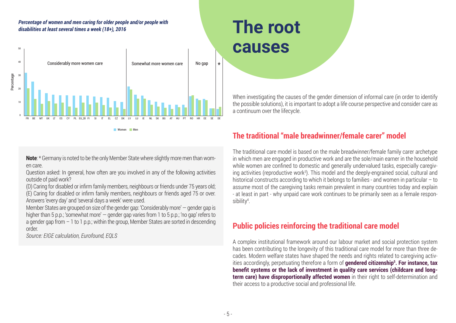#### *Percentage of women and men caring for older people and/or people with disabilities at least several times a week (18+), 2016*



Women Men

**Note**: \* Germany is noted to be the only Member State where slightly more men than women care.

Question asked: In general, how often are you involved in any of the following activities outside of paid work?

(D) Caring for disabled or infirm family members, neighbours or friends under 75 years old; (E) Caring for disabled or infirm family members, neighbours or friends aged 75 or over. Answers 'every day' and 'several days a week' were used.

Member States are grouped on size of the gender gap: 'Considerably more' — gender gap is higher than 5 p.p.; 'somewhat more' — gender gap varies from 1 to 5 p.p.; 'no gap' refers to a gender gap from  $-1$  to 1 p.p.; within the group, Member States are sorted in descending order.

*Source: EIGE calculation, Eurofound, EQLS*

## **The root causes**

When investigating the causes of the gender dimension of informal care (in order to identify the possible solutions), it is important to adopt a life course perspective and consider care as a continuum over the lifecycle.

### **The traditional "male breadwinner/female carer" model**

The traditional care model is based on the male breadwinner/female family carer archetype in which men are engaged in productive work and are the sole/main earner in the household while women are confined to domestic and generally undervalued tasks, especially caregiving activities (reproductive work<sup>3</sup>). This model and the deeply-engrained social, cultural and historical constructs according to which it belongs to families - and women in particular – to assume most of the caregiving tasks remain prevalent in many countries today and explain - at least in part - why unpaid care work continues to be primarily seen as a female responsibility4 .

### **Public policies reinforcing the traditional care model**

A complex institutional framework around our labour market and social protection system has been contributing to the longevity of this traditional care model for more than three decades. Modern welfare states have shaped the needs and rights related to caregiving activities accordingly, perpetuating therefore a form of **gendered citizenship5 . For instance, tax benefit systems or the lack of investment in quality care services (childcare and longterm care) have disproportionally affected women** in their right to self-determination and their access to a productive social and professional life.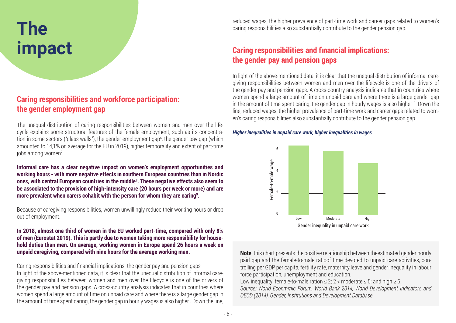## **The impact**

### **Caring responsibilities and workforce participation: the gender employment gap**

The unequal distribution of caring responsibilities between women and men over the lifecycle explains some structural features of the female employment, such as its concentration in some sectors ("glass walls"), the gender employment gap<sup>6</sup>, the gender pay gap (whichamounted to 14,1% on average for the EU in 2019), higher temporality and extent of part-time jobs among women<sup>7</sup>.

**Informal care has a clear negative impact on women's employment opportunities and working hours - with more negative effects in southern European countries than in Nordic**  ones, with central European countries in the middle<sup>s</sup>. These negative effects also seem to **be associated to the provision of high-intensity care (20 hours per week or more) and are more prevalent when carers cohabit with the person for whom they are caring9 .**

Because of caregiving responsibilities, women unwillingly reduce their working hours or drop out of employment.

#### **In 2018, almost one third of women in the EU worked part-time, compared with only 8% of men (Eurostat 2019). This is partly due to women taking more responsibility for household duties than men. On average, working women in Europe spend 26 hours a week on unpaid caregiving, compared with nine hours for the average working man.**

Caring responsibilities and financial implications: the gender pay and pension gaps In light of the above-mentioned data, it is clear that the unequal distribution of informal caregiving responsibilities between women and men over the lifecycle is one of the drivers of the gender pay and pension gaps. A cross-country analysis indicates that in countries where women spend a large amount of time on unpaid care and where there is a large gender gap in the amount of time spent caring, the gender gap in hourly wages is also higher . Down the line,

reduced wages, the higher prevalence of part-time work and career gaps related to women's caring responsibilities also substantially contribute to the gender pension gap.

### **Caring responsibilities and financial implications: the gender pay and pension gaps**

In light of the above-mentioned data, it is clear that the unequal distribution of informal caregiving responsibilities between women and men over the lifecycle is one of the drivers of the gender pay and pension gaps. A cross-country analysis indicates that in countries where women spend a large amount of time on unpaid care and where there is a large gender gap in the amount of time spent caring, the gender gap in hourly wages is also higher<sup>10</sup>. Down the line, reduced wages, the higher prevalence of part-time work and career gaps related to women's caring responsibilities also substantially contribute to the gender pension gap.

#### *Higher inequalities in unpaid care work, higher inequalities in wages*



**Note**: this chart presents the positive relationship between theestimated gender hourly paid gap and the female-to-male ratioof time devoted to unpaid care activities, controlling per GDP per capita, fertility rate, maternity leave and gender inequality in labour force participation, unemployment and education.

Low inequality: female-to-male ration  $\leq 2$ ; 2 < moderate  $\leq 5$ ; and high  $\geq 5$ . *Source: World Econmmic Forum, World Bank 2014, World Development Indicators and OECD (2014), Gender, Institutions and Development Database.*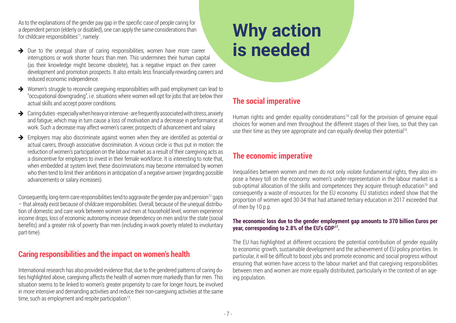As to the explanations of the gender pay gap in the specific case of people caring for a dependent person (elderly or disabled), one can apply the same considerations than for childcare responsibilities<sup>11</sup>, namely:

- $\rightarrow$  Due to the unequal share of caring responsibilities, women have more career interruptions or work shorter hours than men. This undermines their human capital (as their knowledge might become obsolete), has a negative impact on their career development and promotion prospects. It also entails less financially-rewarding careers and reduced economic independence.
- $\rightarrow$  Women's struggle to reconcile caregiving responsibilities with paid employment can lead to "occupational downgrading", i.e. situations where women will opt for jobs that are below their actual skills and accept poorer conditions.
- $\rightarrow$  Caring duties especially when heavy or intensive are frequently associated with stress, anxiety and fatigue, which may in turn cause a loss of motivation and a decrease in performance at work. Such a decrease may affect women's career, prospects of advancement and salary.
- $\rightarrow$  Employers may also discriminate against women when they are identified as potential or actual carers, through associative discrimination. A vicious circle is thus put in motion: the reduction of women's participation on the labour market as a result of their caregiving acts as a disincentive for employers to invest in their female workforce. It is interesting to note that, when embedded at system level, these discriminations may become internalised by women who then tend to limit their ambitions in anticipation of a negative answer (regarding possible advancements or salary increases).

Consequently, long-term care responsibilities tend to aggravate the gender pay and pension<sup>12</sup> gaps – that already exist because of childcare responsibilities. Overall, because of the unequal distribution of domestic and care work between women and men at household level, women experience income drops, loss of economic autonomy, increase dependency on men and/or the state (social benefits) and a greater risk of poverty than men (including in-work poverty related to involuntary part-time).

### **Caring responsibilities and the impact on women's health**

International research has also provided evidence that, due to the gendered patterns of caring duties highlighted above, caregiving affects the health of women more markedly than for men. This situation seems to be linked to women's greater propensity to care for longer hours, be involved in more intensive and demanding activities and reduce their non-caregiving activities at the same time, such as employment and respite participation<sup>13</sup>.

## **Why action is needed**

### **The social imperative**

Human rights and gender equality considerations<sup>14</sup> call for the provision of genuine equal choices for women and men throughout the different stages of their lives, so that they can use their time as they see appropriate and can equally develop their potential<sup>15</sup>.

### **The economic imperative**

Inequalities between women and men do not only violate fundamental rights, they also impose a heavy toll on the economy: women's under-representation in the labour market is a sub-optimal allocation of the skills and competences they acquire through education<sup>16</sup> and consequently a waste of resources for the EU economy. EU statistics indeed show that the proportion of women aged 30-34 that had attained tertiary education in 2017 exceeded that of men by 10 p.p.

#### **The economic loss due to the gender employment gap amounts to 370 billion Euros per year, corresponding to 2.8% of the EU's GDP17.**

The EU has highlighted at different occasions the potential contribution of gender equality to economic growth, sustainable development and the achievement of EU policy priorities. In particular, it will be difficult to boost jobs and promote economic and social progress without ensuring that women have access to the labour market and that caregiving responsibilities between men and women are more equally distributed, particularly in the context of an ageing population.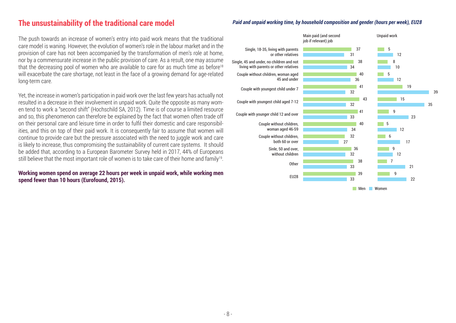#### **The unsustainability of the traditional care model**

The push towards an increase of women's entry into paid work means that the traditional care model is waning. However, the evolution of women's role in the labour market and in the provision of care has not been accompanied by the transformation of men's role at home, nor by a commensurate increase in the public provision of care. As a result, one may assume that the decreasing pool of women who are available to care for as much time as before<sup>18</sup> will exacerbate the care shortage, not least in the face of a growing demand for age-related long-term care.

Yet, the increase in women's participation in paid work over the last few years has actually not resulted in a decrease in their involvement in unpaid work. Quite the opposite as many women tend to work a "second shift" (Hochschild SA, 2012). Time is of course a limited resource and so, this phenomenon can therefore be explained by the fact that women often trade off on their personal care and leisure time in order to fulfil their domestic and care responsibilities, and this on top of their paid work. It is consequently fair to assume that women will continue to provide care but the pressure associated with the need to juggle work and care is likely to increase, thus compromising the sustainability of current care systems. It should be added that, according to a European Barometer Survey held in 2017, 44% of Europeans still believe that the most important role of women is to take care of their home and family<sup>19</sup>.

#### **Working women spend on average 22 hours per week in unpaid work, while working men spend fewer than 10 hours (Eurofound, 2015).**

#### *Paid and unpaid working time, by household composition and gender (hours per week), EU28*

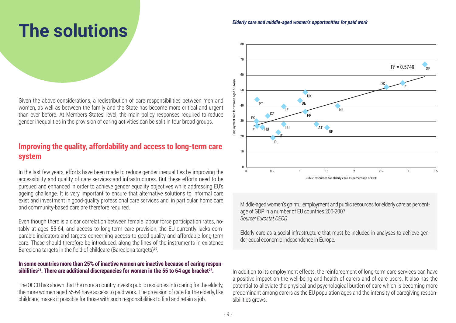## **The solutions**

Given the above considerations, a redistribution of care responsibilities between men and women, as well as between the family and the State has become more critical and urgent than ever before. At Members States' level, the main policy responses required to reduce gender inequalities in the provision of caring activities can be split in four broad groups.

### **Improving the quality, affordability and access to long-term care system**

In the last few years, efforts have been made to reduce gender inequalities by improving the accessibility and quality of care services and infrastructures. But these efforts need to be pursued and enhanced in order to achieve gender equality objectives while addressing EU's ageing challenge. It is very important to ensure that alternative solutions to informal care exist and investment in good-quality professional care services and, in particular, home care and community-based care are therefore required.

Even though there is a clear correlation between female labour force participation rates, notably at ages 55-64, and access to long-term care provision, the EU currently lacks comparable indicators and targets concerning access to good-quality and affordable long-term care. These should therefore be introduced, along the lines of the instruments in existence Barcelona targets in the field of childcare (Barcelona targets)<sup>20</sup>.

#### **In some countries more than 25% of inactive women are inactive because of caring respon**sibilities<sup>21</sup>. There are additional discrepancies for women in the 55 to 64 age bracket<sup>22</sup>.

The OECD has shown that the more a country invests public resources into caring for the elderly, the more women aged 55-64 have access to paid work. The provision of care for the elderly, like childcare, makes it possible for those with such responsibilities to find and retain a job.

#### *Elderly care and middle-aged women's opportunities for paid work*



Middle-aged women's gainful employment and public resources for elderly care as percentage of GDP in a number of EU countries 200-2007. *Source: Eurostat OECD*

Elderly care as a social infrastructure that must be included in analyses to achieve gender-equal economic independence in Europe.

In addition to its employment effects, the reinforcement of long-term care services can have a positive impact on the well-being and health of carers and of care users. It also has the potential to alleviate the physical and psychological burden of care which is becoming more predominant among carers as the EU population ages and the intensity of caregiving responsibilities grows.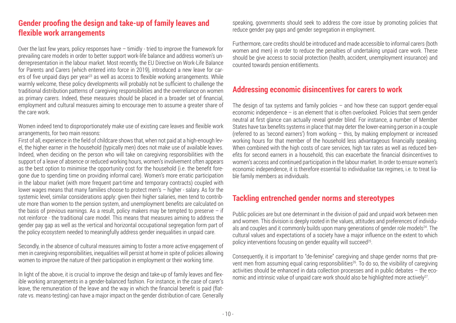### **Gender proofing the design and take-up of family leaves and flexible work arrangements**

Over the last few years, policy responses have – timidly - tried to improve the framework for prevailing care models in order to better support work-life balance and address women's underrepresentation in the labour market. Most recently, the EU Directive on Work-Life Balance for Parents and Carers (which entered into force in 2019), introduced a new leave for carers of five unpaid days per year<sup>23</sup> as well as access to flexible working arrangements. While warmly welcome, these policy developments will probably not be sufficient to challenge the traditional distribution patterns of caregiving responsibilities and the overreliance on women as primary carers. Indeed, these measures should be placed in a broader set of financial, employment and cultural measures aiming to encourage men to assume a greater share of the care work.

Women indeed tend to disproportionately make use of existing care leaves and flexible work arrangements, for two main reasons:

First of all, experience in the field of childcare shows that, when not paid at a high-enough level, the higher earner in the household (typically men) does not make use of available leaves. Indeed, when deciding on the person who will take on caregiving responsibilities with the support of a leave of absence or reduced working hours, women's involvement often appears as the best option to minimise the opportunity cost for the household (i.e. the benefit foregone due to spending time on providing informal care). Women's more erratic participation in the labour market (with more frequent part-time and temporary contracts) coupled with lower wages means that many families choose to protect men's – higher - salary. As for the systemic level, similar considerations apply: given their higher salaries, men tend to contribute more than women to the pension system, and unemployment benefits are calculated on the basis of previous earnings. As a result, policy makers may be tempted to preserve  $-$  if not reinforce - the traditional care model. This means that measures aiming to address the gender pay gap as well as the vertical and horizontal occupational segregation form part of the policy ecosystem needed to meaningfully address gender inequalities in unpaid care.

Secondly, in the absence of cultural measures aiming to foster a more active engagement of men in caregiving responsibilities, inequalities will persist at home in spite of policies allowing women to improve the nature of their participation in employment or their working time.

In light of the above, it is crucial to improve the design and take-up of family leaves and flexible working arrangements in a gender-balanced fashion. For instance, in the case of carer's leave, the remuneration of the leave and the way in which the financial benefit is paid (flatrate vs. means-testing) can have a major impact on the gender distribution of care. Generally speaking, governments should seek to address the core issue by promoting policies that reduce gender pay gaps and gender segregation in employment.

Furthermore, care credits should be introduced and made accessible to informal carers (both women and men) in order to reduce the penalties of undertaking unpaid care work. These should be give access to social protection (health, accident, unemployment insurance) and counted towards pension entitlements.

### **Addressing economic disincentives for carers to work**

The design of tax systems and family policies  $-$  and how these can support gender-equal economic independence – is an element that is often overlooked. Policies that seem gender neutral at first glance can actually reveal gender blind. For instance, a number of Member States have tax benefits systems in place that may deter the lower-earning person in a couple (referred to as 'second earners') from working – this, by making employment or increased working hours for that member of the household less advantageous financially speaking. When combined with the high costs of care services, high tax rates as well as reduced benefits for second earners in a household, this can exacerbate the financial disincentives to women's access and continued participation in the labour market. In order to ensure women's economic independence, it is therefore essential to individualise tax regimes, i.e. to treat liable family members as individuals.

### **Tackling entrenched gender norms and stereotypes**

Public policies are but one determinant in the division of paid and unpaid work between men and women. This division is deeply rooted in the values, attitudes and preferences of individuals and couples and it commonly builds upon many generations of gender role models<sup>24</sup>. The cultural values and expectations of a society have a major influence on the extent to which policy interventions focusing on gender equality will succeed<sup>25</sup>.

Consequently, it is important to "de-feminise" caregiving and shape gender norms that prevent men from assuming equal caring responsibilities<sup>26</sup>. To do so, the visibility of caregiving activities should be enhanced in data collection processes and in public debates – the economic and intrinsic value of unpaid care work should also be highlighted more actively<sup>27</sup>.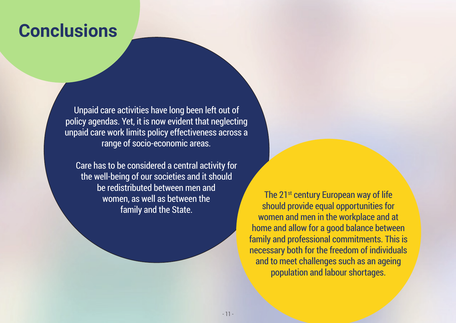## **Conclusions**

Unpaid care activities have long been left out of policy agendas. Yet, it is now evident that neglecting unpaid care work limits policy effectiveness across a range of socio-economic areas.

Care has to be considered a central activity for the well-being of our societies and it should be redistributed between men and women, as well as between the family and the State.

The 21<sup>st</sup> century European way of life should provide equal opportunities for women and men in the workplace and at home and allow for a good balance between family and professional commitments. This is necessary both for the freedom of individuals and to meet challenges such as an ageing population and labour shortages.

- 11 -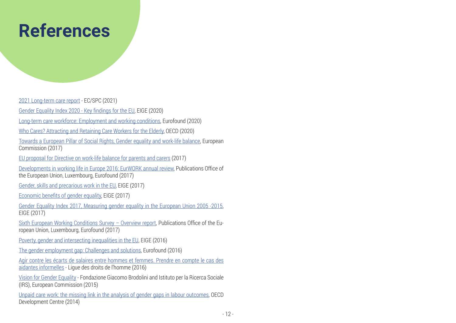## **References**

[2021 Long-term care report](https://ec.europa.eu/social/main.jsp?catId=738&langId=en&pubId=8396) - EC/SPC (2021)

[Gender Equality Index 2020 - Key findings for the EU](https://eige.europa.eu/publications/gender-equality-index-2020-key-findings-eu), EIGE (2020)

[Long-term care workforce: Employment and working conditions,](https://www.eurofound.europa.eu/sites/default/files/ef_publication/field_ef_document/ef20028en.pdf) Eurofound (2020)

[Who Cares? Attracting and Retaining Care Workers for the Elderly](https://read.oecd.org/10.1787/92c0ef68-en?format=pdf), OECD (2020)

[Towards a European Pillar of Social Rights, Gender equality and work-life balance](https://ec.europa.eu/commission/sites/beta-political/files/gender-equality-work-life-balance_en.pdf), European Commission (2017)

[EU proposal for Directive on work-life balance for parents and carers](https://eur-lex.europa.eu/legal-content/EN/TXT/?uri=CELEX:52017PC0253) (2017)

[Developments in working life in Europe 2016: EurWORK annual review](https://www.eurofound.europa.eu/sites/default/files/ef_publication/field_ef_document/ef1727en.pdf), Publications Office of the European Union, Luxembourg, Eurofound (2017)

[Gender, skills and precarious work in the EU,](http://eige.europa.eu/rdc/eige-publications/gender-skills-and-precarious-work-eu-research-note) EIGE (2017)

[Economic benefits of gender equality](http://eige.europa.eu/rdc/eige-publications/economic-benefits-gender-equality-european-union-overall-economic-impacts-gender-equality), EIGE (2017)

[Gender Equality Index 2017, Measuring gender equality in the European Union 2005 -2015,](http://eige.europa.eu/rdc/eige-publications/gender-equality-index-2017-measuring-gender-equality-european-union-2005-2015-report) EIGE (2017)

[Sixth European Working Conditions Survey – Overview report](https://www.eurofound.europa.eu/publications/report/2016/working-conditions/sixth-european-working-conditions-survey-overview-report), Publications Office of the European Union, Luxembourg, Eurofound (2017)

[Poverty, gender and intersecting inequalities in the EU,](http://eige.europa.eu/rdc/eige-publications/poverty-gender-and-intersecting-inequalities-in-the-eu) EIGE (2016)

[The gender employment gap: Challenges and solutions](https://www.eurofound.europa.eu/sites/default/files/ef_publication/field_ef_document/ef1638en_1.pdf), Eurofound (2016)

[Agir contre les écarts de salaires entre hommes et femmes. Prendre en compte le cas des](https://www.ldh-france.org/wp-content/uploads/2016/05/Rapport-GPG-IRES-mai-16.pdf)  [aidantes informelles](https://www.ldh-france.org/wp-content/uploads/2016/05/Rapport-GPG-IRES-mai-16.pdf) - Ligue des droits de l'homme (2016)

[Vision for Gender Equality](http://www.infoeuropa.md/files/viziuni-pentru-egalitatea-de-gen.pdf) - Fondazione Giacomo Brodolini and Istituto per la Ricerca Sociale (IRS), European Commission (2015)

[Unpaid care work: the missing link in the analysis of gender gaps in labour outcomes](https://www.oecd.org/dev/development-gender/Unpaid_care_work.pdf), OECD Development Centre (2014)